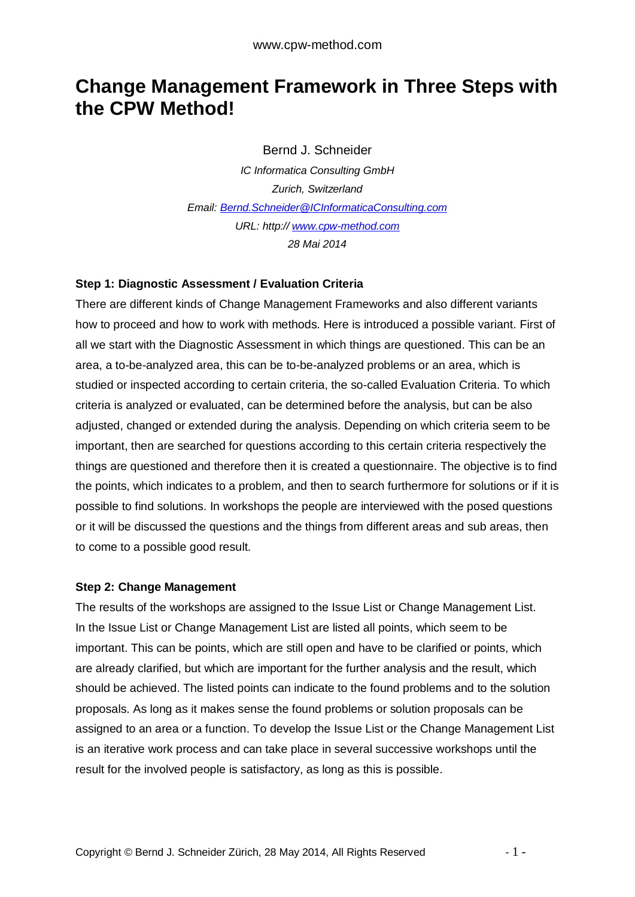# **Change Management Framework in Three Steps with the CPW Method!**

Bernd J. Schneider

*IC Informatica Consulting GmbH Zurich, Switzerland Email: [Bernd.Schneider@ICInformaticaConsulting.com](mailto:Bernd.Schneider@ICInformaticaConsulting.com) URL: http:// <www.cpw-method.com> 28 Mai 2014* 

#### **Step 1: Diagnostic Assessment / Evaluation Criteria**

There are different kinds of Change Management Frameworks and also different variants how to proceed and how to work with methods. Here is introduced a possible variant. First of all we start with the Diagnostic Assessment in which things are questioned. This can be an area, a to-be-analyzed area, this can be to-be-analyzed problems or an area, which is studied or inspected according to certain criteria, the so-called Evaluation Criteria. To which criteria is analyzed or evaluated, can be determined before the analysis, but can be also adjusted, changed or extended during the analysis. Depending on which criteria seem to be important, then are searched for questions according to this certain criteria respectively the things are questioned and therefore then it is created a questionnaire. The objective is to find the points, which indicates to a problem, and then to search furthermore for solutions or if it is possible to find solutions. In workshops the people are interviewed with the posed questions or it will be discussed the questions and the things from different areas and sub areas, then to come to a possible good result.

#### **Step 2: Change Management**

The results of the workshops are assigned to the Issue List or Change Management List. In the Issue List or Change Management List are listed all points, which seem to be important. This can be points, which are still open and have to be clarified or points, which are already clarified, but which are important for the further analysis and the result, which should be achieved. The listed points can indicate to the found problems and to the solution proposals. As long as it makes sense the found problems or solution proposals can be assigned to an area or a function. To develop the Issue List or the Change Management List is an iterative work process and can take place in several successive workshops until the result for the involved people is satisfactory, as long as this is possible.